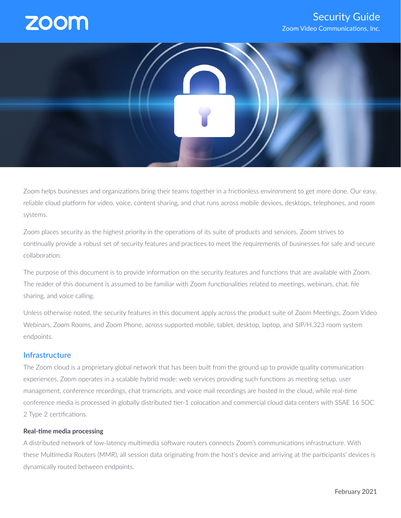# **ZOOI**

# Security Guide Zoom Video Communications, Inc.



Zoom helps businesses and organizations bring their teams together in a frictionless environment to get more done. Our easy, reliable cloud platform for video, voice, content sharing, and chat runs across mobile devices, desktops, telephones, and room systems.

Zoom places security as the highest priority in the operations of its suite of products and services. Zoom strives to continually provide a robust set of security features and practices to meet the requirements of businesses for safe and secure collaboration.

The purpose of this document is to provide information on the security features and functions that are available with Zoom. The reader of this document is assumed to be familiar with Zoom functionalities related to meetings, webinars, chat, file sharing, and voice calling.

Unless otherwise noted, the security features in this document apply across the product suite of Zoom Meetings, Zoom Video Webinars, Zoom Rooms, and Zoom Phone, across supported mobile, tablet, desktop, laptop, and SIP/H.323 room system endpoints.

## **Infrastructure**

The Zoom cloud is a proprietary global network that has been built from the ground up to provide quality communication experiences. Zoom operates in a scalable hybrid mode; web services providing such functions as meeting setup, user management, conference recordings, chat transcripts, and voice mail recordings are hosted in the cloud, while real-time conference media is processed in globally distributed tier-1 colocation and commercial cloud data centers with SSAE 16 SOC 2 Type 2 certifications.

#### **Real-time media processing**

A distributed network of low-latency multimedia software routers connects Zoom's communications infrastructure. With these Multimedia Routers (MMR), all session data originating from the host's device and arriving at the participants' devices is dynamically routed between endpoints.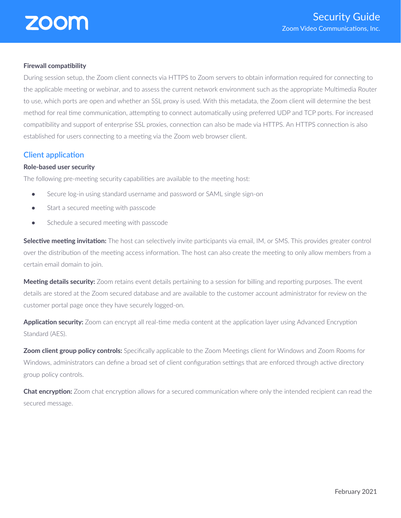#### **Firewall compatibility**

During session setup, the Zoom client connects via HTTPS to Zoom servers to obtain information required for connecting to the applicable meeting or webinar, and to assess the current network environment such as the appropriate Multimedia Router to use, which ports are open and whether an SSL proxy is used. With this metadata, the Zoom client will determine the best method for real time communication, attempting to connect automatically using preferred UDP and TCP ports. For increased compatibility and support of enterprise SSL proxies, connection can also be made via HTTPS. An HTTPS connection is also established for users connecting to a meeting via the Zoom web browser client.

## **Client application**

## **Role-based user security**

The following pre-meeting security capabilities are available to the meeting host:

- Secure log-in using standard username and password or SAML single sign-on
- Start a secured meeting with passcode
- Schedule a secured meeting with passcode

**Selective meeting invitation:** The host can selectively invite participants via email, IM, or SMS. This provides greater control over the distribution of the meeting access information. The host can also create the meeting to only allow members from a certain email domain to join.

**Meeting details security:** Zoom retains event details pertaining to a session for billing and reporting purposes. The event details are stored at the Zoom secured database and are available to the customer account administrator for review on the customer portal page once they have securely logged-on.

**Application security:** Zoom can encrypt all real-time media content at the application layer using Advanced Encryption Standard (AFS).

**Zoom client group policy controls:** Specifically applicable to the Zoom Meetings client for Windows and Zoom Rooms for Windows, administrators can define a broad set of client configuration settings that are enforced through active directory group policy controls.

**Chat encryption:** Zoom chat encryption allows for a secured communication where only the intended recipient can read the secured message.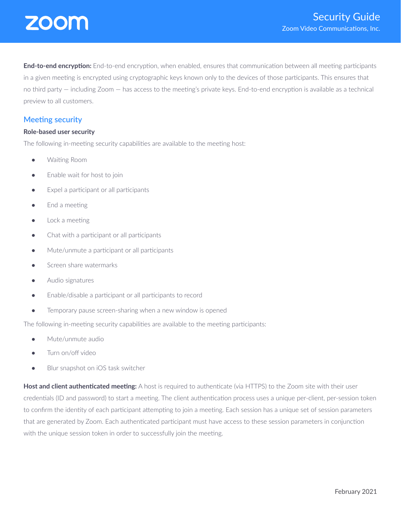

**End-to-end encryption:** End-to-end encryption, when enabled, ensures that communication between all meeting participants in a given meeting is encrypted using cryptographic keys known only to the devices of those participants. This ensures that no third party — including Zoom — has access to the meeting's private keys. End-to-end encryption is available as a technical preview to all customers.

## **Meeting security**

#### **Role-based user security**

The following in-meeting security capabilities are available to the meeting host:

- Waiting Room
- Enable wait for host to join
- Expel a participant or all participants
- End a meeting
- $\bullet$  Lock a meeting
- Chat with a participant or all participants
- Mute/unmute a participant or all participants
- Screen share watermarks
- Audio signatures
- Enable/disable a participant or all participants to record
- Temporary pause screen-sharing when a new window is opened

The following in-meeting security capabilities are available to the meeting participants:

- Mute/unmute audio
- Turn on/off video
- Blur snapshot on iOS task switcher

**Host and client authenticated meeting:** A host is required to authenticate (via HTTPS) to the Zoom site with their user credentials (ID and password) to start a meeting. The client authentication process uses a unique per-client, per-session token to confirm the identity of each participant attempting to join a meeting. Each session has a unique set of session parameters that are generated by Zoom. Each authenticated participant must have access to these session parameters in conjunction with the unique session token in order to successfully join the meeting.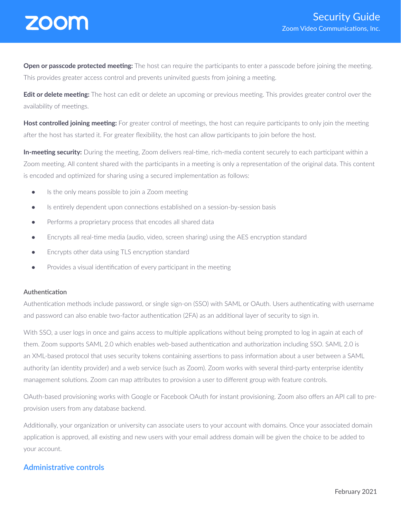

**Open or passcode protected meeting:** The host can require the participants to enter a passcode before joining the meeting. This provides greater access control and prevents uninvited guests from joining a meeting.

**Edit or delete meeting:** The host can edit or delete an upcoming or previous meeting. This provides greater control over the availability of meetings.

**Host controlled joining meeting:** For greater control of meetings, the host can require participants to only join the meeting after the host has started it. For greater flexibility, the host can allow participants to join before the host.

**In-meeting security:** During the meeting, Zoom delivers real-time, rich-media content securely to each participant within a Zoom meeting. All content shared with the participants in a meeting is only a representation of the original data. This content is encoded and optimized for sharing using a secured implementation as follows:

- Is the only means possible to join a Zoom meeting
- Is entirely dependent upon connections established on a session-by-session basis
- Performs a proprietary process that encodes all shared data
- Encrypts all real-time media (audio, video, screen sharing) using the AES encryption standard
- Encrypts other data using TLS encryption standard
- Provides a visual identification of every participant in the meeting

#### **Authentication**

Authentication methods include password, or single sign-on (SSO) with SAML or OAuth. Users authenticating with username and password can also enable two-factor authentication (2FA) as an additional layer of security to sign in.

With SSO, a user logs in once and gains access to multiple applications without being prompted to log in again at each of them. Zoom supports SAML 2.0 which enables web-based authentication and authorization including SSO. SAML 2.0 is an XML-based protocol that uses security tokens containing assertions to pass information about a user between a SAML authority (an identity provider) and a web service (such as Zoom). Zoom works with several third-party enterprise identity management solutions. Zoom can map attributes to provision a user to different group with feature controls.

OAuth-based provisioning works with Google or Facebook OAuth for instant provisioning. Zoom also offers an API call to preprovision users from any database backend.

Additionally, your organization or university can associate users to your account with domains. Once your associated domain application is approved, all existing and new users with your email address domain will be given the choice to be added to your account.

## **Administrative controls**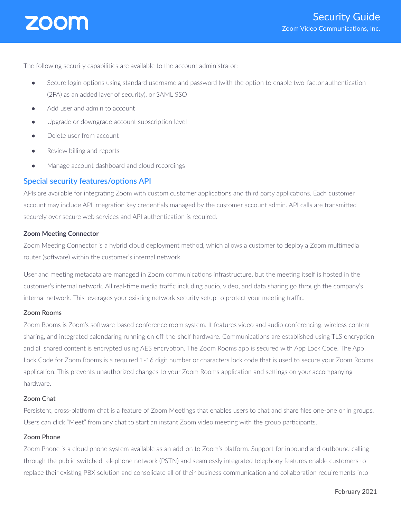

The following security capabilities are available to the account administrator:

- Secure login options using standard username and password (with the option to enable two-factor authentication (2FA) as an added layer of security), or SAML SSO
- Add user and admin to account
- Upgrade or downgrade account subscription level
- Delete user from account
- Review billing and reports
- Manage account dashboard and cloud recordings

## **Special security features/options API**

APIs are available for integrating Zoom with custom customer applications and third party applications. Each customer account may include API integration key credentials managed by the customer account admin. API calls are transmitted securely over secure web services and API authentication is required.

#### **Zoom Meeting Connector**

Zoom Meeting Connector is a hybrid cloud deployment method, which allows a customer to deploy a Zoom multimedia router (software) within the customer's internal network.

User and meeting metadata are managed in Zoom communications infrastructure, but the meeting itself is hosted in the customer's internal network. All real-time media traffic including audio, video, and data sharing go through the company's internal network. This leverages your existing network security setup to protect your meeting traffic.

#### **Zoom Rooms**

Zoom Rooms is Zoom's software-based conference room system. It features video and audio conferencing, wireless content sharing, and integrated calendaring running on off-the-shelf hardware. Communications are established using TLS encryption and all shared content is encrypted using AES encryption. The Zoom Rooms app is secured with App Lock Code. The App Lock Code for Zoom Rooms is a required 1-16 digit number or characters lock code that is used to secure your Zoom Rooms application. This prevents unauthorized changes to your Zoom Rooms application and settings on your accompanying hardware.

#### **Zoom Chat**

Persistent, cross-platform chat is a feature of Zoom Meetings that enables users to chat and share files one-one or in groups. Users can click "Meet" from any chat to start an instant Zoom video meeting with the group participants.

#### **Zoom Phone**

Zoom Phone is a cloud phone system available as an add-on to Zoom's platform. Support for inbound and outbound calling through the public switched telephone network (PSTN) and seamlessly integrated telephony features enable customers to replace their existing PBX solution and consolidate all of their business communication and collaboration requirements into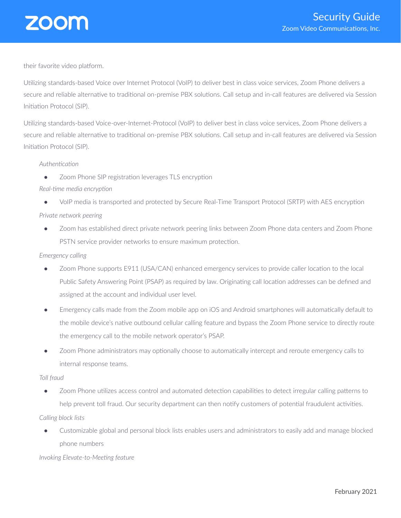

their favorite video platform.

Utilizing standards-based Voice over Internet Protocol (VoIP) to deliver best in class voice services, Zoom Phone delivers a secure and reliable alternative to traditional on-premise PBX solutions. Call setup and in-call features are delivered via Session Initiation Protocol (SIP).

Utilizing standards-based Voice-over-Internet-Protocol (VoIP) to deliver best in class voice services, Zoom Phone delivers a secure and reliable alternative to traditional on-premise PBX solutions. Call setup and in-call features are delivered via Session Initiation Protocol (SIP).

#### *Authentication*

● Zoom Phone SIP registration leverages TLS encryption

## *Real-time media encryption*

● VoIP media is transported and protected by Secure Real-Time Transport Protocol (SRTP) with AES encryption

## *Private network peering*

• Zoom has established direct private network peering links between Zoom Phone data centers and Zoom Phone PSTN service provider networks to ensure maximum protection.

#### *Emergency calling*

- Zoom Phone supports E911 (USA/CAN) enhanced emergency services to provide caller location to the local Public Safety Answering Point (PSAP) as required by law. Originating call location addresses can be defined and assigned at the account and individual user level.
- Emergency calls made from the Zoom mobile app on iOS and Android smartphones will automatically default to the mobile device's native outbound cellular calling feature and bypass the Zoom Phone service to directly route the emergency call to the mobile network operator's PSAP.
- Zoom Phone administrators may optionally choose to automatically intercept and reroute emergency calls to internal response teams.

#### *Toll fraud*

● Zoom Phone utilizes access control and automated detection capabilities to detect irregular calling patterns to help prevent toll fraud. Our security department can then notify customers of potential fraudulent activities.

## *Calling block lists*

Customizable global and personal block lists enables users and administrators to easily add and manage blocked phone numbers

*Invoking Elevate-to-Meeting feature*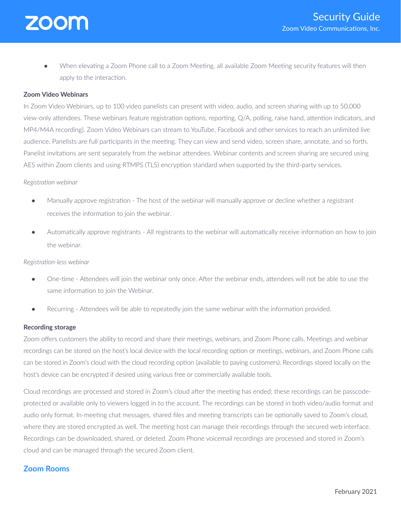

● When elevating a Zoom Phone call to a Zoom Meeting, all available Zoom Meeting security features will then apply to the interaction.

#### **Zoom Video Webinars**

In Zoom Video Webinars, up to 100 video panelists can present with video, audio, and screen sharing with up to 50,000 view-only attendees. These webinars feature registration options, reporting, Q/A, polling, raise hand, attention indicators, and MP4/M4A recording). Zoom Video Webinars can stream to YouTube, Facebook and other services to reach an unlimited live audience. Panelists are full participants in the meeting. They can view and send video, screen share, annotate, and so forth. Panelist invitations are sent separately from the webinar attendees. Webinar contents and screen sharing are secured using AES within Zoom clients and using RTMPS (TLS) encryption standard when supported by the third-party services.

#### *Registration webinar*

- Manually approve registration The host of the webinar will manually approve or decline whether a registrant receives the information to join the webinar.
- Automatically approve registrants All registrants to the webinar will automatically receive information on how to join the webinar.

#### *Registration-less webinar*

- One-time Attendees will join the webinar only once. After the webinar ends, attendees will not be able to use the same information to join the Webinar.
- Recurring Attendees will be able to repeatedly join the same webinar with the information provided.

#### **Recording storage**

Zoom offers customers the ability to record and share their meetings, webinars, and Zoom Phone calls. Meetings and webinar recordings can be stored on the host's local device with the local recording option or meetings, webinars, and Zoom Phone calls can be stored in Zoom's cloud with the cloud recording option (available to paying customers). Recordings stored locally on the host's device can be encrypted if desired using various free or commercially available tools.

Cloud recordings are processed and stored in Zoom's cloud after the meeting has ended; these recordings can be passcodeprotected or available only to viewers logged in to the account. The recordings can be stored in both video/audio format and audio only format. In-meeting chat messages, shared files and meeting transcripts can be optionally saved to Zoom's cloud, where they are stored encrypted as well. The meeting host can manage their recordings through the secured web interface. Recordings can be downloaded, shared, or deleted. Zoom Phone voicemail recordings are processed and stored in Zoom's cloud and can be managed through the secured Zoom client.

## **Zoom Rooms**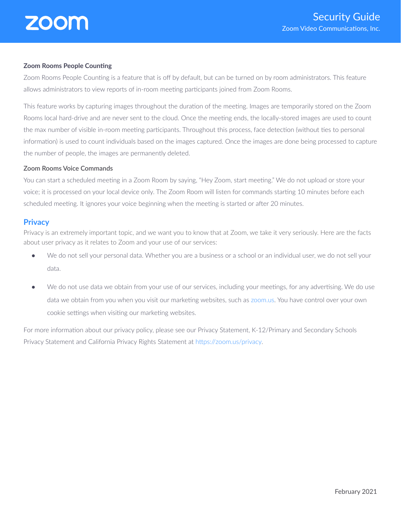#### **Zoom Rooms People Counting**

Zoom Rooms People Counting is a feature that is off by default, but can be turned on by room administrators. This feature allows administrators to view reports of in-room meeting participants joined from Zoom Rooms.

This feature works by capturing images throughout the duration of the meeting. Images are temporarily stored on the Zoom Rooms local hard-drive and are never sent to the cloud. Once the meeting ends, the locally-stored images are used to count the max number of visible in-room meeting participants. Throughout this process, face detection (without ties to personal information) is used to count individuals based on the images captured. Once the images are done being processed to capture the number of people, the images are permanently deleted.

#### **Zoom Rooms Voice Commands**

You can start a scheduled meeting in a Zoom Room by saying, "Hey Zoom, start meeting." We do not upload or store your voice; it is processed on your local device only. The Zoom Room will listen for commands starting 10 minutes before each scheduled meeting. It ignores your voice beginning when the meeting is started or after 20 minutes.

## **Privacy**

Privacy is an extremely important topic, and we want you to know that at Zoom, we take it very seriously. Here are the facts about user privacy as it relates to Zoom and your use of our services:

- We do not sell your personal data. Whether you are a business or a school or an individual user, we do not sell your data.
- We do not use data we obtain from your use of our services, including your meetings, for any advertising. We do use data we obtain from you when you visit our marketing websites, such as [zoom.us.](http://zoom.us/) You have control over your own cookie settings when visiting our marketing websites.

For more information about our privacy policy, please see our Privacy Statement, K-12/Primary and Secondary Schools Privacy Statement and California Privacy Rights Statement at <https://zoom.us/privacy>.